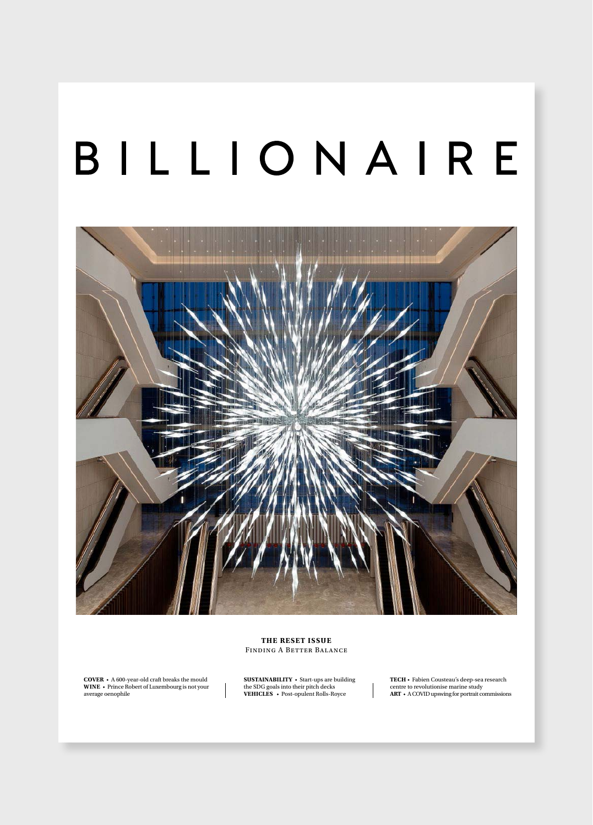# BILLIONAIRE



**THE RESET ISSUE** Finding A Better Balance

**COVER A** 600-year-old craft breaks the mould **WINE** • Prince Robert of Luxembourg is not your average oenophile

**SUSTAINABILITY ·** Start-ups are building the SDG goals into their pitch decks<br>**VEHICLES •** Post-opulent Rolls-Royce

TECH • Fabien Cousteau's deep-sea research centre to revolutionise marine study<br>**ART** • A COVID upswing for portrait commissions